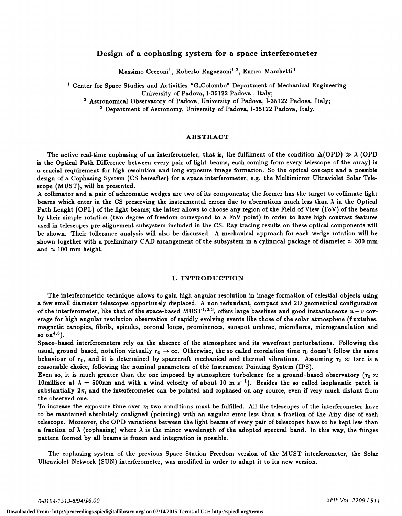# Design of a cophasing system for a space interferometer

Massimo Cecconi<sup>1</sup>, Roberto Ragazzoni<sup>1,2</sup>, Enrico Marchetti<sup>3</sup>

<sup>1</sup> Center for Space Studies and Activities "G.Colombo" Department of Mechanical Engineering<br>University of Padova, I-35122 Padova, Italy;

<sup>2</sup> Astronomical Observatory of Padova, University of Padova, I-35122 Padova, Italy; <sup>3</sup> Department of Astronomy, University of Padova, I-35122 Padova, Italy.

## ABSTRACT

The active real-time cophasing of an interferometer, that is, the fulfilment of the condition  $\Delta(OPD) \gg \lambda$  (OPD) is the Optical Path Difference between every pair of light beams, each coming from every telescope of the array) is a crucial requirement for high resolution and long exposure image formation. So the optical concept and a possible design of a Cophasing System (CS hereafter) for a space interferometer, e.g. the Multimirror Ultraviolet Solar Telescope (MUST), will be presented.<br>A collimator and a pair of achromatic wedges are two of its components; the former has the target to collimate light

beams which enter in the CS preserving the instrumental errors due to aberrations much less than  $\lambda$  in the Optical Path Lenght (OPL) of the light beams; the latter allows to choose any region of the Field of View (FoV) of the beams by their simple rotation (two degree of freedom correspond to a FoV point) in order to have high contrast features used in telescopes pre-alignement subsystem included in the CS. Ray tracing results on these optical components will be shown. Their tollerance analysis will also be discussed. A mechanical approach for each wedge rotation will be shown together with a preliminary CAD arrangement of the subsystem in a cylinrical package of diameter  $\approx 300$  mm and  $\approx 100$  mm height.

### 1. INTRODUCTION

The interferometric technique allows to gain high angular resolution in image formation of celestial objects using a few small diameter telescopes opportunely displaced. A non redundant, compact and 2D geometrical configuration of the interferometer, like that of the space-based MUST<sup>1,2,3</sup>, offers large baselines and good instantaneous  $u - v$  coverage for high angular resolution observation of rapidly evolving events like those of the solar atmosphere (fiuxtubes, magnetic canopies, fibrils, spicules, coronal loops, prominences, sunspot umbrae, microfiares, microgranulation and so on $^{4,5}$ ).

Space—based interferometers rely on the absence of the atmosphere and its wavefront perturbations. Following the usual, ground–based, notation virtually  $r_0 \to \infty$ . Otherwise, the so called correlation time  $\tau_0$  doesn't follow the same behaviour of  $r_0$ , and it is determined by spacecraft mechanical and thermal vibrations. Assuming  $r_0 \approx 1$ sec is a reasonable choice, following the nominal parameters of the Instrument Pointing System (IPS).

Even so, it is much greater than the one imposed by atmosphere turbolence for a ground–based observatory ( $\tau_0 \approx$ 10 millisec at  $\lambda = 500$ nm and with a wind velocity of about 10 m s<sup>-1</sup>). Besides the so called isoplanatic patch is substantially  $2\pi$ , and the interferometer can be pointed and cophased on any source, even if very much distant from the observed one.

To increase the exposure time over  $\tau_0$  two conditions must be fulfilled. All the telescopes of the interferometer have to be mantained absolutely coaligned (pointing) with an angular error less than a fraction of the Airy disc of each telescope. Moreover, the OPD variations between the light beams of every pair of telescopes have to be kept less than a fraction of  $\lambda$  (cophasing) where  $\lambda$  is the minor wavelength of the adopted spectral band. In this way, the fringes pattern formed by all beams is frozen and integration is possible.

The cophasing system of the previous Space Station Freedom version of the MUST interferometer, the Solar Ultraviolet Network (SUN) interferometer, was modified in order to adapt it to its new version.

O-8194-1513-8/94/\$6.OO SPIE Vol. 2209 / 511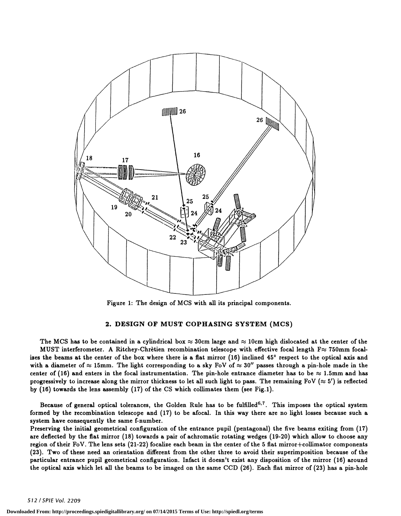

Figure 1: The design of MCS with all its principal components.

## 2. DESIGN OF MUST COPHASING SYSTEM (MCS)

The MCS has to be contained in a cylindrical box  $\approx 30$ cm large and  $\approx 10$ cm high dislocated at the center of the MUST interferometer. A Ritchey-Chrètien recombination telescope with effective focal length  $F \approx 750 \text{mm}$  focalizes the beams at the center of the box where there is a flat mirror (16) inclined 45° respect to the optical axis and with a diameter of  $\approx 15$ mm. The light corresponding to a sky FoV of  $\approx 30''$  passes through a pin-hole made in the center of (16) and enters in the focal instrumentation. The pin-hole entrance diameter has to be  $\approx 1.5$ mm and has progressively to increase along the mirror thickness to let all such light to pass. The remaining FoV ( $\approx 5'$ ) is reflected by (16) towards the lens assembly (17) of the CS which collimates them (see Fig.1).

Because of general optical tolerances, the Golden Rule has to be fulfilled<sup>6,7</sup>. This imposes the optical system formed by the recombination telescope and (17) to be afocal. In this way there are no light losses because such a system have consequently the same f-number.

Preserving the initial geometrical configuration of the entrance pupil (pentagonal) the five beams exiting from (17) are deflected by the flat mirror (18) towards a pair of achromatic rotating wedges (19-20) which allow to choose any region of their FoV. The lens sets (21-22) focalize each beam in the center of the 5 flat mirror+collimator components (23). Two of these need an orientation different from the other three to avoid their superimposition because of the particular entrance pupil geometrical configuration. Infact it doesn't exist any disposition of the mirror (16) around the optical axis which let all the beams to be imaged on the same CCD (26). Each flat mirror of (23) has a pin-hole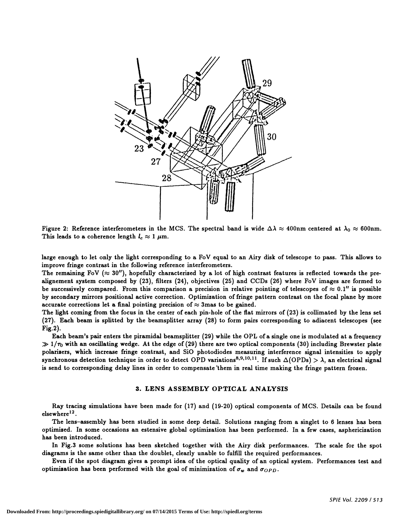

Figure 2: Reference interferometers in the MCS. The spectral band is wide  $\Delta\lambda \approx 400$ nm centered at  $\lambda_0 \approx 600$ nm. This leads to a coherence length  $l_c \approx 1 \ \mu \text{m}$ .

large enough to let only the light corresponding to a FoV equal to an Airy disk of telescope to pass. This allows to improve fringe contrast in the following reference interferometers.

The remaining FoV  $(\approx 30'')$ , hopefully characterized by a lot of high contrast features is reflected towards the prealignement system composed by (23), filters (24), objectives (25) and CCDs (26) where FoV images are formed to be successively compared. From this comparison a precision in relative pointing of telescopes of  $\approx 0.1''$  is possible by secondary mirrors positional active correction. Optimization of fringe pattern contrast on the focal plane by more accurate corrections let a final pointing precision of  $\approx$  3mas to be gained.

The light coming from the focus in the center of each pin-hole of the flat mirrors of (23) is collimated by the lens set (27). Each beam is splitted by the beamsplitter array (28) to form pairs corresponding to adiacent telescopes (see Fig.2).

Each beam's pair enters the piramidal beamsplitter (29) while the OPL of a single one is modulated at a frequency  $\gg 1/\tau_0$  with an oscillating wedge. At the edge of (29) there are two optical components (30) including Brewster plate polarizers, which increase fringe contrast, and SiO photodiodes measuring interference signal intensities to apply synchronous detection technique in order to detect OPD variations<sup>8,9,10,11</sup>. If such  $\Delta$ (OPDs) >  $\lambda$ , an electrical signal is send to corresponding delay lines in order to compensate 'them in real time making the fringe pattern frozen.

#### 3. LENS ASSEMBLY OPTICAL ANALYSIS

Ray tracing simulations have been made for (17) and (19-20) optical components of MCS. Details can be found elsewhere<sup>12</sup>.

The lens—assembly has been studied in some deep detail. Solutions ranging from a singlet to 6 lenses has been optimized. In some occasions an estensive global optimization has been performed. In a few cases, asphericization has been introduced.

In Fig.3 some solutions has been sketched together with the Airy disk performances. The scale for the spot diagrams is the same other than the doublet, clearly unable to fulfill the required performances.

Even if the spot diagram gives a prompt idea of the optical quality of an optical system. Performances test and optimization has been performed with the goal of minimization of  $\sigma_w$  and  $\sigma_{OPD}$ .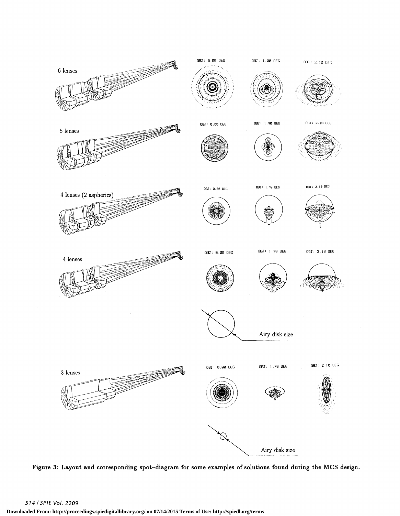

re 3: Lavout and corresponding spot-diagram for some examples of solutions found during the MCS des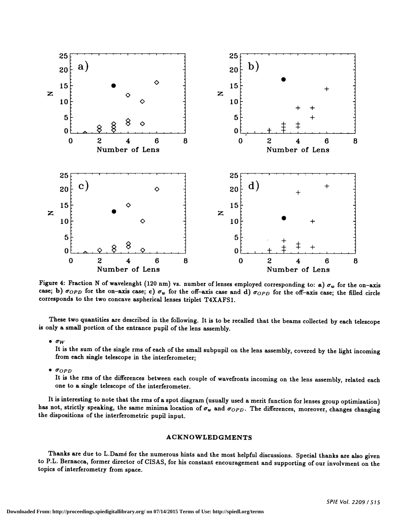

Figure 4: Fraction N of wavelenght (120 nm) vs. number of lenses employed corresponding to: a)  $\sigma_w$  for the on-axis case; b)  $\sigma_{OPD}$  for the on-axis case; c)  $\sigma_w$  for the off-axis case and d)  $\sigma_{OPD}$  for the off-axis case; the filled circle corresponds to the two concave aspherical lenses triplet T4XAFS1.

These two quantities are described in the following. It is to be recalled that the beams collected by each telescope is only a small portion of the entrance pupil of the lens assembly.

 $\bullet$   $\sigma_W$ 

It is the sum of the single rms of each of the small subpupil on the lens assembly, covered by the light incoming from each single telescope in the interferometer;

 $\bullet$   $\sigma$ <sub>OPD</sub>

It is the rms of the differences between each couple of wavefronts incoming on the lens assembly, related each one to a single telescope of the interferometer.

It is interesting to note that the rms of a spot diagram (usually used a merit function for lenses group optimization) has not, strictly speaking, the same minima location of  $\sigma_w$  and  $\sigma_{OPD}$ . The differences, moreover, the dispositions of the interferometric pupil input.

# ACKNOWLED GMENTS

Thanks are due to L.Damé for the numerous hints and the most helpful discussions. Special thanks are also given to P.L. Bernacca, former director of CISAS, for his constant encouragement and supporting of our involvment on the topics of interferometry from space.